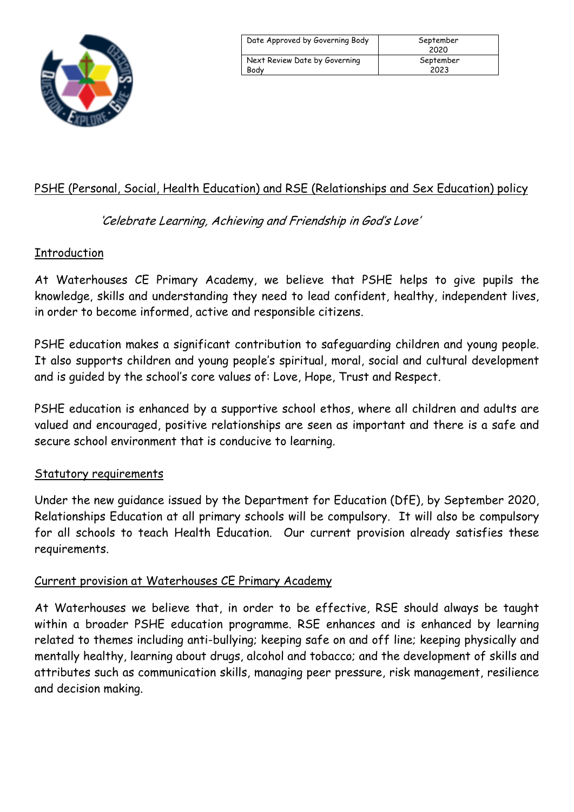

| Date Approved by Governing Body | September<br>2020 |
|---------------------------------|-------------------|
| Next Review Date by Governing   | September         |
| Body                            | 2023              |

## PSHE (Personal, Social, Health Education) and RSE (Relationships and Sex Education) policy

'Celebrate Learning, Achieving and Friendship in God's Love'

## **Introduction**

At Waterhouses CE Primary Academy, we believe that PSHE helps to give pupils the knowledge, skills and understanding they need to lead confident, healthy, independent lives, in order to become informed, active and responsible citizens.

PSHE education makes a significant contribution to safeguarding children and young people. It also supports children and young people's spiritual, moral, social and cultural development and is guided by the school's core values of: Love, Hope, Trust and Respect.

PSHE education is enhanced by a supportive school ethos, where all children and adults are valued and encouraged, positive relationships are seen as important and there is a safe and secure school environment that is conducive to learning.

## Statutory requirements

Under the new guidance issued by the Department for Education (DfE), by September 2020, Relationships Education at all primary schools will be compulsory. It will also be compulsory for all schools to teach Health Education. Our current provision already satisfies these requirements.

## Current provision at Waterhouses CE Primary Academy

At Waterhouses we believe that, in order to be effective, RSE should always be taught within a broader PSHE education programme. RSE enhances and is enhanced by learning related to themes including anti-bullying; keeping safe on and off line; keeping physically and mentally healthy, learning about drugs, alcohol and tobacco; and the development of skills and attributes such as communication skills, managing peer pressure, risk management, resilience and decision making.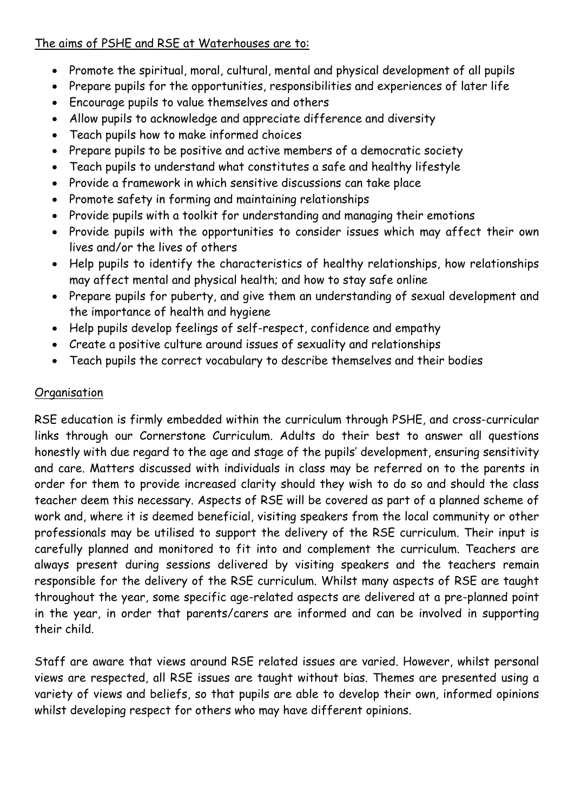## The aims of PSHE and RSE at Waterhouses are to:

- Promote the spiritual, moral, cultural, mental and physical development of all pupils
- Prepare pupils for the opportunities, responsibilities and experiences of later life
- Encourage pupils to value themselves and others
- Allow pupils to acknowledge and appreciate difference and diversity
- Teach pupils how to make informed choices
- Prepare pupils to be positive and active members of a democratic society
- Teach pupils to understand what constitutes a safe and healthy lifestyle
- Provide a framework in which sensitive discussions can take place
- Promote safety in forming and maintaining relationships
- Provide pupils with a toolkit for understanding and managing their emotions
- Provide pupils with the opportunities to consider issues which may affect their own lives and/or the lives of others
- Help pupils to identify the characteristics of healthy relationships, how relationships may affect mental and physical health; and how to stay safe online
- Prepare pupils for puberty, and give them an understanding of sexual development and the importance of health and hygiene
- Help pupils develop feelings of self-respect, confidence and empathy
- Create a positive culture around issues of sexuality and relationships
- Teach pupils the correct vocabulary to describe themselves and their bodies

## **Organisation**

RSE education is firmly embedded within the curriculum through PSHE, and cross-curricular links through our Cornerstone Curriculum. Adults do their best to answer all questions honestly with due regard to the age and stage of the pupils' development, ensuring sensitivity and care. Matters discussed with individuals in class may be referred on to the parents in order for them to provide increased clarity should they wish to do so and should the class teacher deem this necessary. Aspects of RSE will be covered as part of a planned scheme of work and, where it is deemed beneficial, visiting speakers from the local community or other professionals may be utilised to support the delivery of the RSE curriculum. Their input is carefully planned and monitored to fit into and complement the curriculum. Teachers are always present during sessions delivered by visiting speakers and the teachers remain responsible for the delivery of the RSE curriculum. Whilst many aspects of RSE are taught throughout the year, some specific age-related aspects are delivered at a pre-planned point in the year, in order that parents/carers are informed and can be involved in supporting their child.

Staff are aware that views around RSE related issues are varied. However, whilst personal views are respected, all RSE issues are taught without bias. Themes are presented using a variety of views and beliefs, so that pupils are able to develop their own, informed opinions whilst developing respect for others who may have different opinions.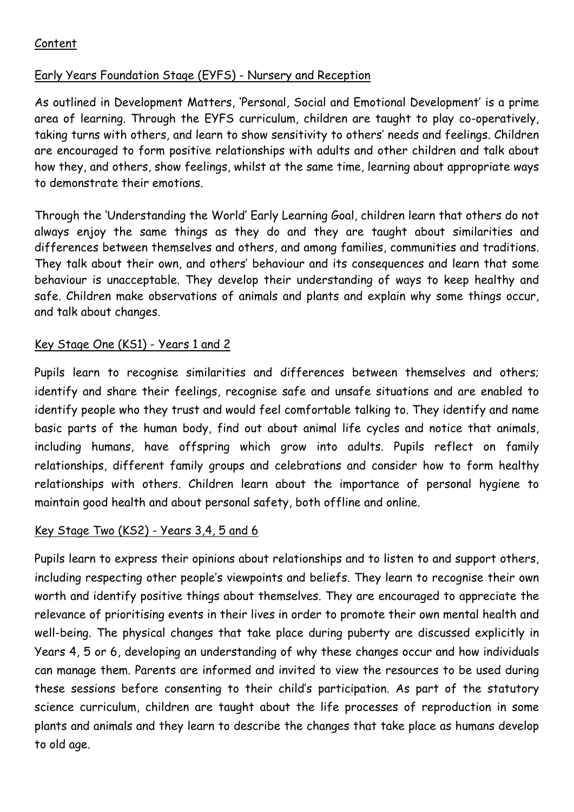## Content

## Early Years Foundation Stage (EYFS) - Nursery and Reception

As outlined in Development Matters, 'Personal, Social and Emotional Development' is a prime area of learning. Through the EYFS curriculum, children are taught to play co-operatively, taking turns with others, and learn to show sensitivity to others' needs and feelings. Children are encouraged to form positive relationships with adults and other children and talk about how they, and others, show feelings, whilst at the same time, learning about appropriate ways to demonstrate their emotions.

Through the 'Understanding the World' Early Learning Goal, children learn that others do not always enjoy the same things as they do and they are taught about similarities and differences between themselves and others, and among families, communities and traditions. They talk about their own, and others' behaviour and its consequences and learn that some behaviour is unacceptable. They develop their understanding of ways to keep healthy and safe. Children make observations of animals and plants and explain why some things occur, and talk about changes.

## Key Stage One (KS1) - Years 1 and 2

Pupils learn to recognise similarities and differences between themselves and others; identify and share their feelings, recognise safe and unsafe situations and are enabled to identify people who they trust and would feel comfortable talking to. They identify and name basic parts of the human body, find out about animal life cycles and notice that animals, including humans, have offspring which grow into adults. Pupils reflect on family relationships, different family groups and celebrations and consider how to form healthy relationships with others. Children learn about the importance of personal hygiene to maintain good health and about personal safety, both offline and online.

#### Key Stage Two (KS2) - Years 3,4, 5 and 6

Pupils learn to express their opinions about relationships and to listen to and support others, including respecting other people's viewpoints and beliefs. They learn to recognise their own worth and identify positive things about themselves. They are encouraged to appreciate the relevance of prioritising events in their lives in order to promote their own mental health and well-being. The physical changes that take place during puberty are discussed explicitly in Years 4, 5 or 6, developing an understanding of why these changes occur and how individuals can manage them. Parents are informed and invited to view the resources to be used during these sessions before consenting to their child's participation. As part of the statutory science curriculum, children are taught about the life processes of reproduction in some plants and animals and they learn to describe the changes that take place as humans develop to old age.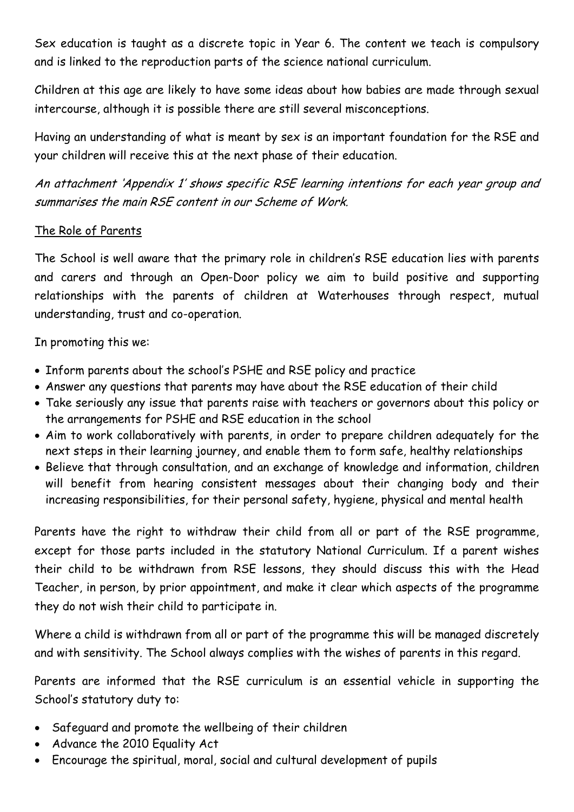Sex education is taught as a discrete topic in Year 6. The content we teach is compulsory and is linked to the reproduction parts of the science national curriculum.

Children at this age are likely to have some ideas about how babies are made through sexual intercourse, although it is possible there are still several misconceptions.

Having an understanding of what is meant by sex is an important foundation for the RSE and your children will receive this at the next phase of their education.

An attachment 'Appendix 1' shows specific RSE learning intentions for each year group and summarises the main RSE content in our Scheme of Work.

#### The Role of Parents

The School is well aware that the primary role in children's RSE education lies with parents and carers and through an Open-Door policy we aim to build positive and supporting relationships with the parents of children at Waterhouses through respect, mutual understanding, trust and co-operation.

In promoting this we:

- Inform parents about the school's PSHE and RSE policy and practice
- Answer any questions that parents may have about the RSE education of their child
- Take seriously any issue that parents raise with teachers or governors about this policy or the arrangements for PSHE and RSE education in the school
- Aim to work collaboratively with parents, in order to prepare children adequately for the next steps in their learning journey, and enable them to form safe, healthy relationships
- Believe that through consultation, and an exchange of knowledge and information, children will benefit from hearing consistent messages about their changing body and their increasing responsibilities, for their personal safety, hygiene, physical and mental health

Parents have the right to withdraw their child from all or part of the RSE programme, except for those parts included in the statutory National Curriculum. If a parent wishes their child to be withdrawn from RSE lessons, they should discuss this with the Head Teacher, in person, by prior appointment, and make it clear which aspects of the programme they do not wish their child to participate in.

Where a child is withdrawn from all or part of the programme this will be managed discretely and with sensitivity. The School always complies with the wishes of parents in this regard.

Parents are informed that the RSE curriculum is an essential vehicle in supporting the School's statutory duty to:

- Safeguard and promote the wellbeing of their children
- Advance the 2010 Equality Act
- Encourage the spiritual, moral, social and cultural development of pupils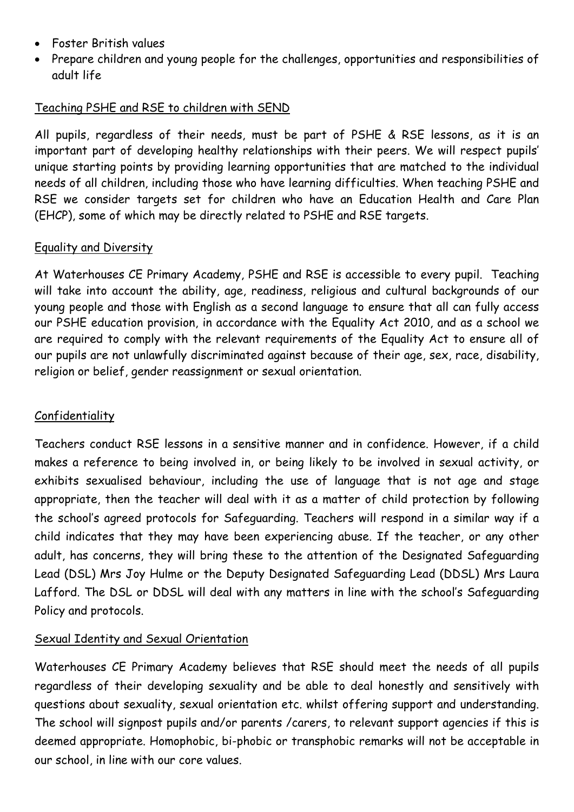- Foster British values
- Prepare children and young people for the challenges, opportunities and responsibilities of adult life

## Teaching PSHE and RSE to children with SEND

All pupils, regardless of their needs, must be part of PSHE & RSE lessons, as it is an important part of developing healthy relationships with their peers. We will respect pupils' unique starting points by providing learning opportunities that are matched to the individual needs of all children, including those who have learning difficulties. When teaching PSHE and RSE we consider targets set for children who have an Education Health and Care Plan (EHCP), some of which may be directly related to PSHE and RSE targets.

## Equality and Diversity

At Waterhouses CE Primary Academy, PSHE and RSE is accessible to every pupil. Teaching will take into account the ability, age, readiness, religious and cultural backgrounds of our young people and those with English as a second language to ensure that all can fully access our PSHE education provision, in accordance with the Equality Act 2010, and as a school we are required to comply with the relevant requirements of the Equality Act to ensure all of our pupils are not unlawfully discriminated against because of their age, sex, race, disability, religion or belief, gender reassignment or sexual orientation.

## Confidentiality

Teachers conduct RSE lessons in a sensitive manner and in confidence. However, if a child makes a reference to being involved in, or being likely to be involved in sexual activity, or exhibits sexualised behaviour, including the use of language that is not age and stage appropriate, then the teacher will deal with it as a matter of child protection by following the school's agreed protocols for Safeguarding. Teachers will respond in a similar way if a child indicates that they may have been experiencing abuse. If the teacher, or any other adult, has concerns, they will bring these to the attention of the Designated Safeguarding Lead (DSL) Mrs Joy Hulme or the Deputy Designated Safeguarding Lead (DDSL) Mrs Laura Lafford. The DSL or DDSL will deal with any matters in line with the school's Safeguarding Policy and protocols.

## Sexual Identity and Sexual Orientation

Waterhouses CE Primary Academy believes that RSE should meet the needs of all pupils regardless of their developing sexuality and be able to deal honestly and sensitively with questions about sexuality, sexual orientation etc. whilst offering support and understanding. The school will signpost pupils and/or parents /carers, to relevant support agencies if this is deemed appropriate. Homophobic, bi-phobic or transphobic remarks will not be acceptable in our school, in line with our core values.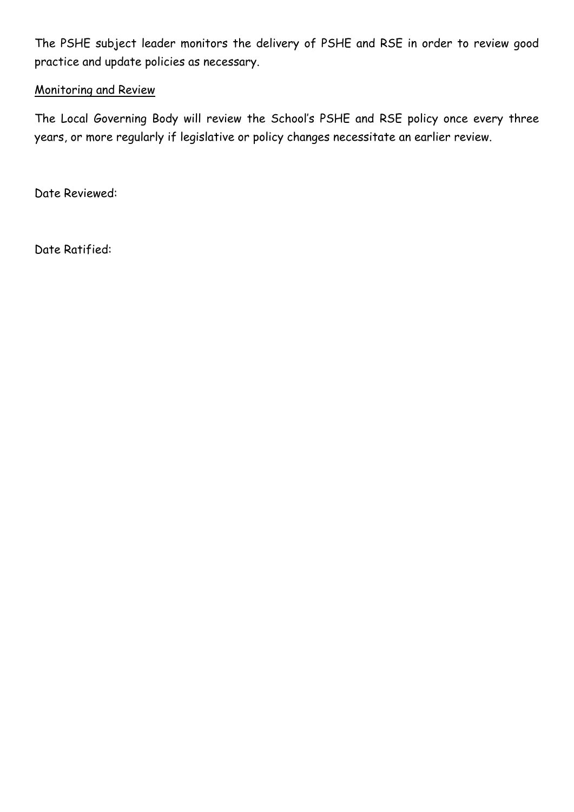The PSHE subject leader monitors the delivery of PSHE and RSE in order to review good practice and update policies as necessary.

#### Monitoring and Review

The Local Governing Body will review the School's PSHE and RSE policy once every three years, or more regularly if legislative or policy changes necessitate an earlier review.

Date Reviewed:

Date Ratified: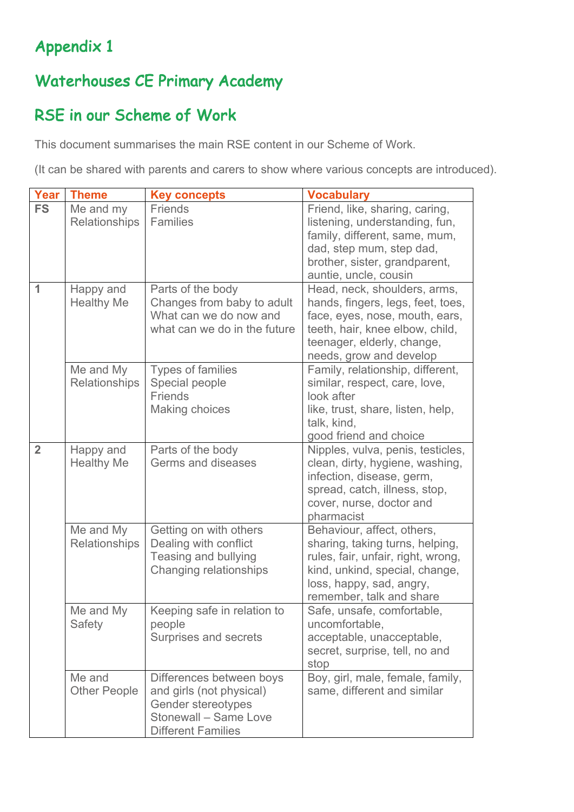# Appendix 1

# Waterhouses CE Primary Academy

# RSE in our Scheme of Work

This document summarises the main RSE content in our Scheme of Work.

(It can be shared with parents and carers to show where various concepts are introduced).

| <b>Year</b>    | <b>Theme</b>                   | <b>Key concepts</b>                                                                                                              | <b>Vocabulary</b>                                                                                                                                                                               |
|----------------|--------------------------------|----------------------------------------------------------------------------------------------------------------------------------|-------------------------------------------------------------------------------------------------------------------------------------------------------------------------------------------------|
| <b>FS</b>      | Me and my<br>Relationships     | <b>Friends</b><br><b>Families</b>                                                                                                | Friend, like, sharing, caring,<br>listening, understanding, fun,<br>family, different, same, mum,<br>dad, step mum, step dad,<br>brother, sister, grandparent,<br>auntie, uncle, cousin         |
| 1              | Happy and<br><b>Healthy Me</b> | Parts of the body<br>Changes from baby to adult<br>What can we do now and<br>what can we do in the future                        | Head, neck, shoulders, arms,<br>hands, fingers, legs, feet, toes,<br>face, eyes, nose, mouth, ears,<br>teeth, hair, knee elbow, child,<br>teenager, elderly, change,<br>needs, grow and develop |
|                | Me and My<br>Relationships     | <b>Types of families</b><br>Special people<br><b>Friends</b><br><b>Making choices</b>                                            | Family, relationship, different,<br>similar, respect, care, love,<br>look after<br>like, trust, share, listen, help,<br>talk, kind,<br>good friend and choice                                   |
| $\overline{2}$ | Happy and<br><b>Healthy Me</b> | Parts of the body<br>Germs and diseases                                                                                          | Nipples, vulva, penis, testicles,<br>clean, dirty, hygiene, washing,<br>infection, disease, germ,<br>spread, catch, illness, stop,<br>cover, nurse, doctor and<br>pharmacist                    |
|                | Me and My<br>Relationships     | Getting on with others<br>Dealing with conflict<br>Teasing and bullying<br>Changing relationships                                | Behaviour, affect, others,<br>sharing, taking turns, helping,<br>rules, fair, unfair, right, wrong,<br>kind, unkind, special, change,<br>loss, happy, sad, angry,<br>remember, talk and share   |
|                | Me and My<br>Safety            | Keeping safe in relation to<br>people<br>Surprises and secrets                                                                   | Safe, unsafe, comfortable,<br>uncomfortable,<br>acceptable, unacceptable,<br>secret, surprise, tell, no and<br>stop                                                                             |
|                | Me and<br><b>Other People</b>  | Differences between boys<br>and girls (not physical)<br>Gender stereotypes<br>Stonewall - Same Love<br><b>Different Families</b> | Boy, girl, male, female, family,<br>same, different and similar                                                                                                                                 |